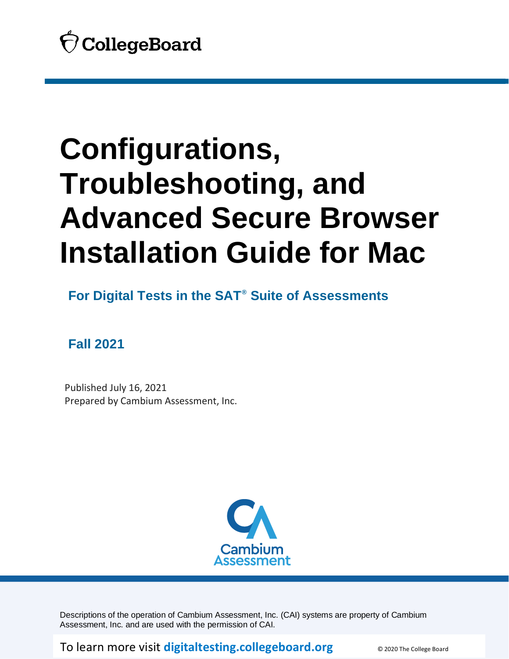

**For Digital Tests in the SAT® Suite of Assessments**

**Fall 2021**

 Published July 16, 2021 Prepared by Cambium Assessment, Inc.



Descriptions of the operation of Cambium Assessment, Inc. (CAI) systems are property of Cambium Assessment, Inc. and are used with the permission of CAI.

To learn more visit [digitaltesting.collegeboard.org](https://digitaltesting.collegeboard.org/) **CONDER COLLEGE BOARD**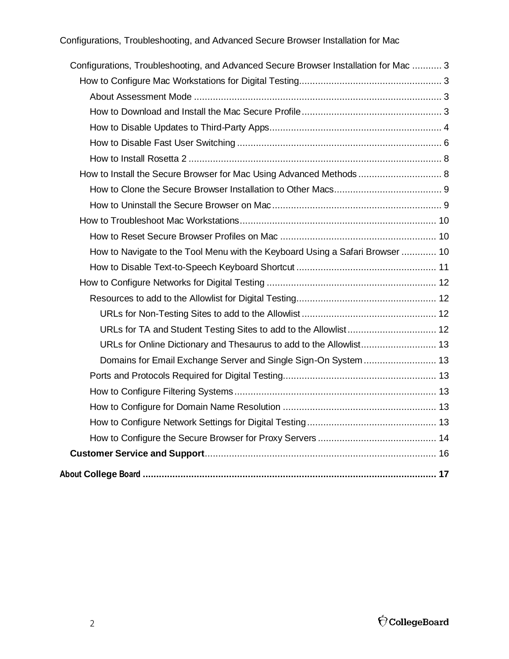| Configurations, Troubleshooting, and Advanced Secure Browser Installation for Mac  3 |  |
|--------------------------------------------------------------------------------------|--|
|                                                                                      |  |
|                                                                                      |  |
|                                                                                      |  |
|                                                                                      |  |
|                                                                                      |  |
|                                                                                      |  |
| How to Install the Secure Browser for Mac Using Advanced Methods  8                  |  |
|                                                                                      |  |
|                                                                                      |  |
|                                                                                      |  |
|                                                                                      |  |
| How to Navigate to the Tool Menu with the Keyboard Using a Safari Browser  10        |  |
|                                                                                      |  |
|                                                                                      |  |
|                                                                                      |  |
|                                                                                      |  |
|                                                                                      |  |
| URLs for Online Dictionary and Thesaurus to add to the Allowlist 13                  |  |
|                                                                                      |  |
|                                                                                      |  |
|                                                                                      |  |
|                                                                                      |  |
|                                                                                      |  |
|                                                                                      |  |
|                                                                                      |  |
|                                                                                      |  |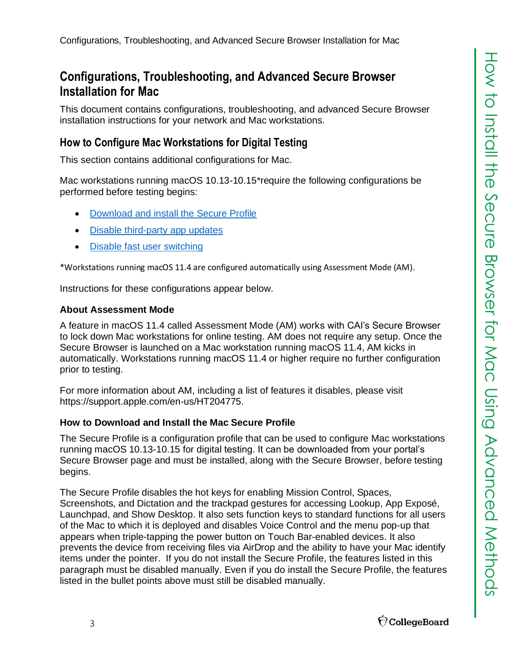<span id="page-2-0"></span>This document contains configurations, troubleshooting, and advanced Secure Browser installation instructions for your network and Mac workstations.

# <span id="page-2-1"></span>**How to Configure Mac Workstations for Digital Testing**

This section contains additional configurations for Mac.

Mac workstations running macOS 10.13-10.15\*require the following configurations be performed before testing begins:

- **[Download and install the Secure Profile](#page-2-3)**
- [Disable third-party app updates](#page-3-0)
- **[Disable fast user switching](#page-5-0)**

\*Workstations running macOS 11.4 are configured automatically using Assessment Mode (AM).

Instructions for these configurations appear below.

# <span id="page-2-2"></span>**About Assessment Mode**

A feature in macOS 11.4 called Assessment Mode (AM) works with CAI's Secure Browser to lock down Mac workstations for online testing. AM does not require any setup. Once the Secure Browser is launched on a Mac workstation running macOS 11.4, AM kicks in automatically. Workstations running macOS 11.4 or higher require no further configuration prior to testing.

For more information about AM, including a list of features it disables, please visit [https://support.apple.com/en-us/HT204775.](https://support.apple.com/en-us/HT204775)

# <span id="page-2-3"></span>**How to Download and Install the Mac Secure Profile**

The Secure Profile is a configuration profile that can be used to configure Mac workstations running macOS 10.13-10.15 for digital testing. It can be downloaded from your portal's Secure Browser page and must be installed, along with the Secure Browser, before testing begins.

The Secure Profile disables the hot keys for enabling Mission Control, Spaces, Screenshots, and Dictation and the trackpad gestures for accessing Lookup, App Exposé, Launchpad, and Show Desktop. It also sets function keys to standard functions for all users of the Mac to which it is deployed and disables Voice Control and the menu pop-up that appears when triple-tapping the power button on Touch Bar-enabled devices. It also prevents the device from receiving files via AirDrop and the ability to have your Mac identify items under the pointer. If you do not install the Secure Profile, the features listed in this paragraph must be disabled manually. Even if you do install the Secure Profile, the features listed in the bullet points above must still be disabled manually.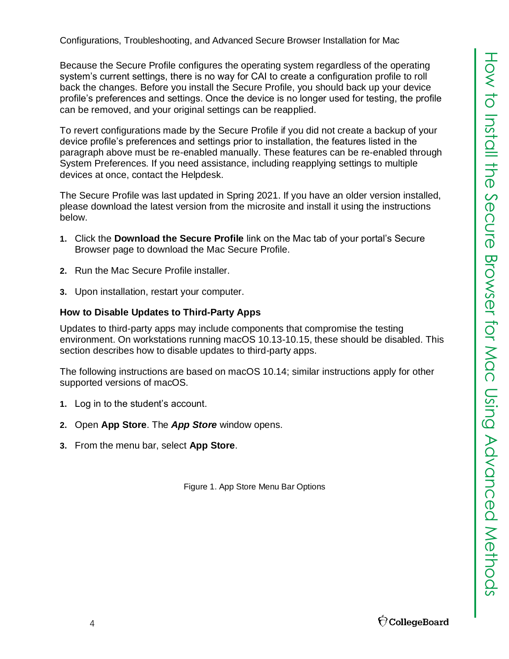Because the Secure Profile configures the operating system regardless of the operating system's current settings, there is no way for CAI to create a configuration profile to roll back the changes. Before you install the Secure Profile, you should back up your device profile's preferences and settings. Once the device is no longer used for testing, the profile can be removed, and your original settings can be reapplied.

To revert configurations made by the Secure Profile if you did not create a backup of your device profile's preferences and settings prior to installation, the features listed in the paragraph above must be re-enabled manually. These features can be re-enabled through System Preferences. If you need assistance, including reapplying settings to multiple devices at once, contact the Helpdesk.

The Secure Profile was last updated in Spring 2021. If you have an older version installed, please download the latest version from the microsite and install it using the instructions below.

- **1.** Click the **Download the Secure Profile** link on the Mac tab of your portal's Secure Browser page to download the Mac Secure Profile.
- **2.** Run the Mac Secure Profile installer.
- **3.** Upon installation, restart your computer.

# <span id="page-3-0"></span>**How to Disable Updates to Third-Party Apps**

Updates to third-party apps may include components that compromise the testing environment. On workstations running macOS 10.13-10.15, these should be disabled. This section describes how to disable updates to third-party apps.

The following instructions are based on macOS 10.14; similar instructions apply for other supported versions of macOS.

- **1.** Log in to the student's account.
- **2.** Open **App Store**. The *App Store* window opens.
- **3.** From the menu bar, select **App Store**.

Figure 1. App Store Menu Bar Options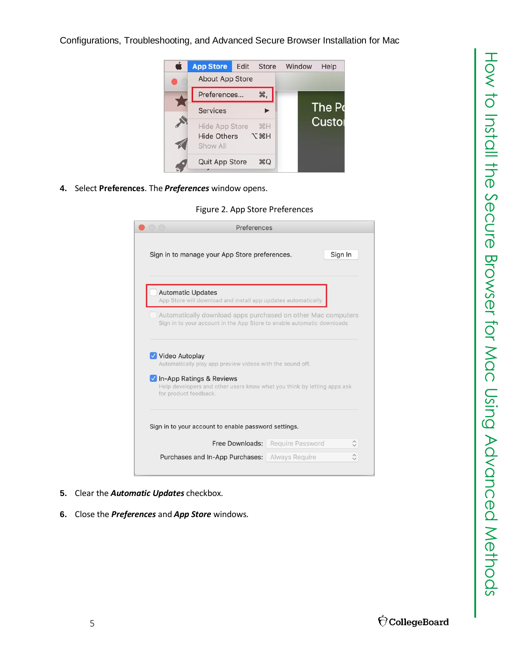

**4.** Select **Preferences**. The *Preferences* window opens.

Figure 2. App Store Preferences

|                                            | Sign In<br>Sign in to manage your App Store preferences.                                                                               |  |
|--------------------------------------------|----------------------------------------------------------------------------------------------------------------------------------------|--|
| <b>Automatic Updates</b>                   | App Store will download and install app updates automatically.                                                                         |  |
|                                            | Automatically download apps purchased on other Mac computers<br>Sign in to your account in the App Store to enable automatic downloads |  |
|                                            |                                                                                                                                        |  |
|                                            |                                                                                                                                        |  |
| for product feedback.                      | Automatically play app preview videos with the sound off.<br>Help developers and other users know what you think by letting apps ask   |  |
|                                            | Sign in to your account to enable password settings.                                                                                   |  |
| Video Autoplay<br>In-App Ratings & Reviews | Free Downloads:<br>Require Password                                                                                                    |  |

- **5.** Clear the *Automatic Updates* checkbox.
- **6.** Close the *Preferences* and *App Store* windows.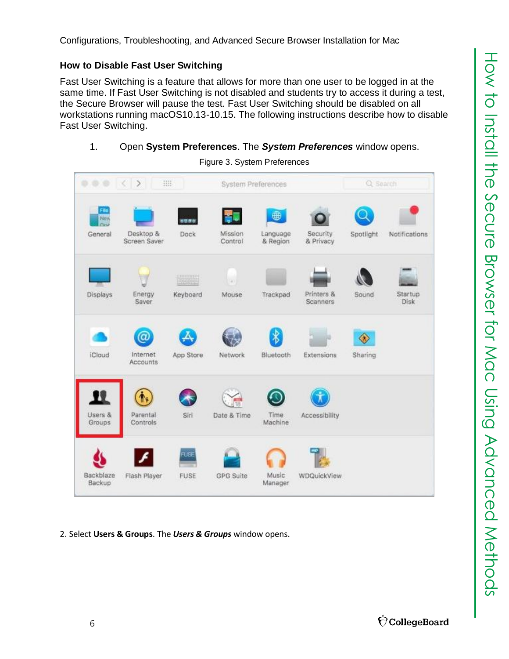# <span id="page-5-0"></span>**How to Disable Fast User Switching**

Fast User Switching is a feature that allows for more than one user to be logged in at the same time. If Fast User Switching is not disabled and students try to access it during a test, the Secure Browser will pause the test. Fast User Switching should be disabled on all workstations running macOS10.13-10.15. The following instructions describe how to disable Fast User Switching.

# 1. Open **System Preferences**. The *System Preferences* window opens.

| 0 0 0 0 1                       | 珊                                      |                     | System Preferences |                           |                        | Q Search                            |                 |
|---------------------------------|----------------------------------------|---------------------|--------------------|---------------------------|------------------------|-------------------------------------|-----------------|
| File<br>New<br>Clase<br>General | Desktop &<br>Screen Saver              | 6880<br>Dock        | Mission<br>Control | ⊕<br>Language<br>& Region | Security<br>& Privacy  | Spotlight                           | Notifications   |
| Displays                        | Energy<br>Saver                        | Keyboard            | a)<br>Mouse        | Trackpad                  | Printers &<br>Scanners | Sound                               | Startup<br>Disk |
| iCloud                          | $\circledcirc$<br>Internet<br>Accounts | App Store           | Network            | $\ast$<br>Bluetooth       | Extensions             | $\overline{\mathcal{X}}$<br>Sharing |                 |
| 11<br>Users &<br>Groups         | Parental<br>Controls                   | Siri                | Date & Time        | Time<br>Machine           | Accessibility          |                                     |                 |
| Backblaze<br>Backup             | Flash Player                           | <b>TUSE</b><br>FUSE | <b>GPG</b> Suite   | Music<br>Manager          | WDQuickView            |                                     |                 |

Figure 3. System Preferences

2. Select **Users & Groups**. The *Users & Groups* window opens.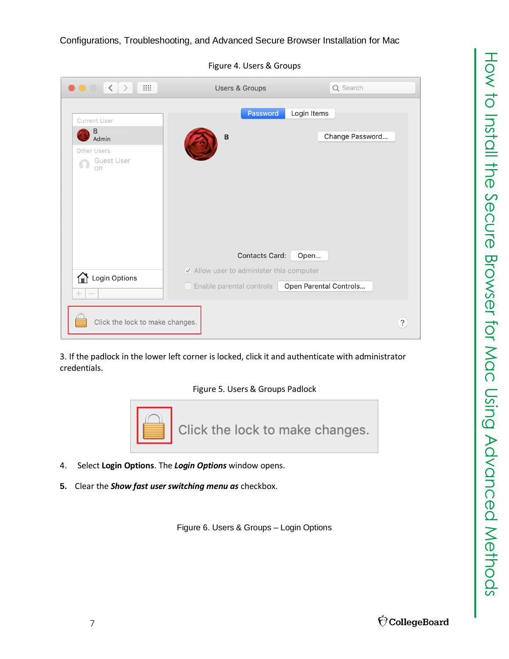| $\bullet\bullet\circ$<br>$\rightarrow$<br>₩                            | <b>Users &amp; Groups</b>                                                                                 | Q Search                       |
|------------------------------------------------------------------------|-----------------------------------------------------------------------------------------------------------|--------------------------------|
| Current User                                                           | Password                                                                                                  | Login Items                    |
| B<br>Admin<br>Other Users<br>Guest User<br>$\Omega$<br>Off             | B                                                                                                         | Change Password                |
| Login Options<br>$\hspace{0.1mm} +$<br>$\hspace{0.1mm}-\hspace{0.1mm}$ | Contacts Card:<br>$\sqrt{\phantom{a}}$ Allow user to administer this computer<br>Enable parental controls | Open<br>Open Parental Controls |
| Click the lock to make changes.                                        |                                                                                                           | $\cdot$                        |

Figure 4. Users & Groups

3. If the padlock in the lower left corner is locked, click it and authenticate with administrator credentials.





- 4. Select **Login Options**. The *Login Options* window opens.
- **5.** Clear the *Show fast user switching menu as* checkbox.

Figure 6. Users & Groups – Login Options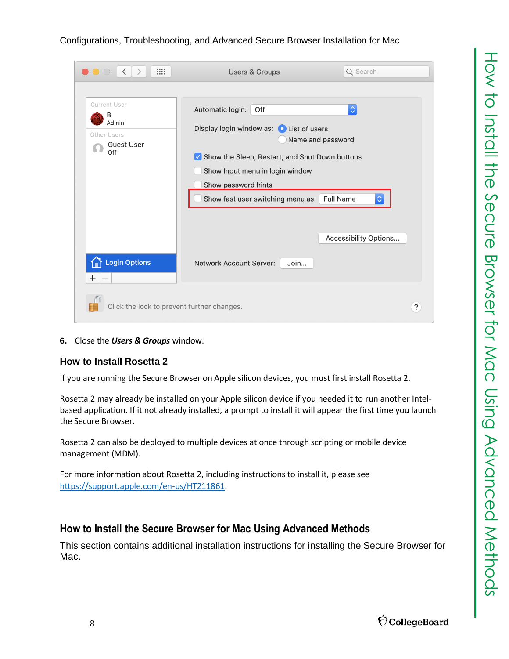# How to Install the Secure Browser for Mac Using Advanced Methods How to Install the Secure Browser for Mac Using Advanced Methods

# Configurations, Troubleshooting, and Advanced Secure Browser Installation for Mac

| ₩<br>$\langle$<br>$\bigcirc$ $\bigcirc$ $\bigcirc$<br>$\rightarrow$          | Q Search<br><b>Users &amp; Groups</b>                                                                                                                                                                                                                                                                                                          |   |
|------------------------------------------------------------------------------|------------------------------------------------------------------------------------------------------------------------------------------------------------------------------------------------------------------------------------------------------------------------------------------------------------------------------------------------|---|
| <b>Current User</b><br>В<br>Admin<br>Other Users<br><b>Guest User</b><br>Off | $\Diamond$<br>Off<br>Automatic login:<br>Display login window as:<br><b>O</b> List of users<br>Name and password<br>Show the Sleep, Restart, and Shut Down buttons<br>$ \mathcal{S} $<br>Show Input menu in login window<br>Show password hints<br>Show fast user switching menu as<br>$\Diamond$<br><b>Full Name</b><br>Accessibility Options |   |
| <b>Login Options</b><br>$^{+}$                                               | <b>Network Account Server:</b><br>Join                                                                                                                                                                                                                                                                                                         |   |
| Click the lock to prevent further changes.                                   |                                                                                                                                                                                                                                                                                                                                                | ? |

**6.** Close the *Users & Groups* window.

# <span id="page-7-0"></span>**How to Install Rosetta 2**

If you are running the Secure Browser on Apple silicon devices, you must first install Rosetta 2.

Rosetta 2 may already be installed on your Apple silicon device if you needed it to run another Intelbased application. If it not already installed, a prompt to install it will appear the first time you launch the Secure Browser.

Rosetta 2 can also be deployed to multiple devices at once through scripting or mobile device management (MDM).

For more information about Rosetta 2, including instructions to install it, please see <https://support.apple.com/en-us/HT211861>.

# <span id="page-7-1"></span>**How to Install the Secure Browser for Mac Using Advanced Methods**

This section contains additional installation instructions for installing the Secure Browser for Mac.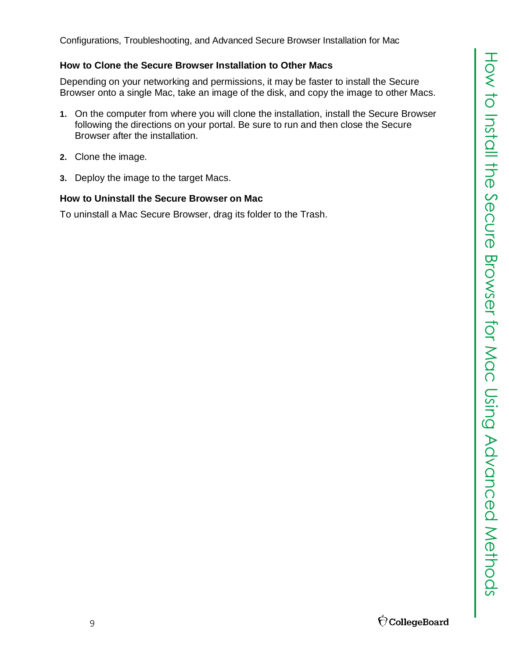# <span id="page-8-0"></span>**How to Clone the Secure Browser Installation to Other Macs**

Depending on your networking and permissions, it may be faster to install the Secure Browser onto a single Mac, take an image of the disk, and copy the image to other Macs.

- **1.** On the computer from where you will clone the installation, install the Secure Browser following the directions on your portal. Be sure to run and then close the Secure Browser after the installation.
- **2.** Clone the image.
- **3.** Deploy the image to the target Macs.

# <span id="page-8-1"></span>**How to Uninstall the Secure Browser on Mac**

To uninstall a Mac Secure Browser, drag its folder to the Trash.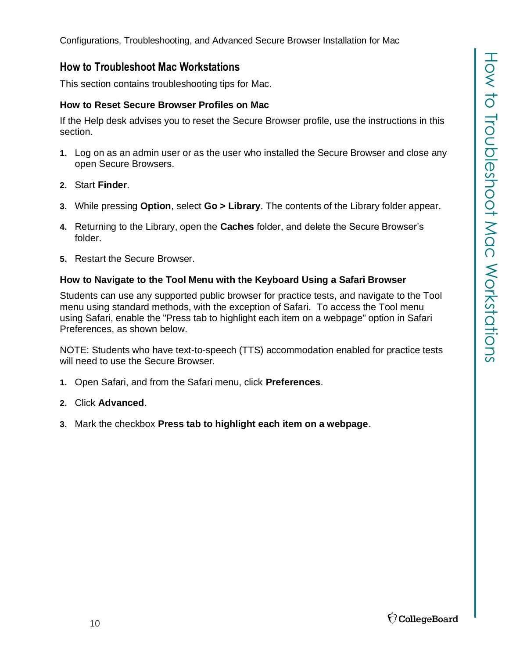# <span id="page-9-0"></span>**How to Troubleshoot Mac Workstations**

This section contains troubleshooting tips for Mac.

# <span id="page-9-1"></span>**How to Reset Secure Browser Profiles on Mac**

If the Help desk advises you to reset the Secure Browser profile, use the instructions in this section.

- **1.** Log on as an admin user or as the user who installed the Secure Browser and close any open Secure Browsers.
- **2.** Start **Finder**.
- **3.** While pressing **Option**, select **Go > Library**. The contents of the Library folder appear.
- **4.** Returning to the Library, open the **Caches** folder, and delete the Secure Browser's folder.
- **5.** Restart the Secure Browser.

# <span id="page-9-2"></span>**How to Navigate to the Tool Menu with the Keyboard Using a Safari Browser**

Students can use any supported public browser for practice tests, and navigate to the Tool menu using standard methods, with the exception of Safari. To access the Tool menu using Safari, enable the "Press tab to highlight each item on a webpage" option in Safari Preferences, as shown below.

NOTE: Students who have text-to-speech (TTS) accommodation enabled for practice tests will need to use the Secure Browser.

- **1.** Open Safari, and from the Safari menu, click **Preferences**.
- **2.** Click **Advanced**.
- **3.** Mark the checkbox **Press tab to highlight each item on a webpage**.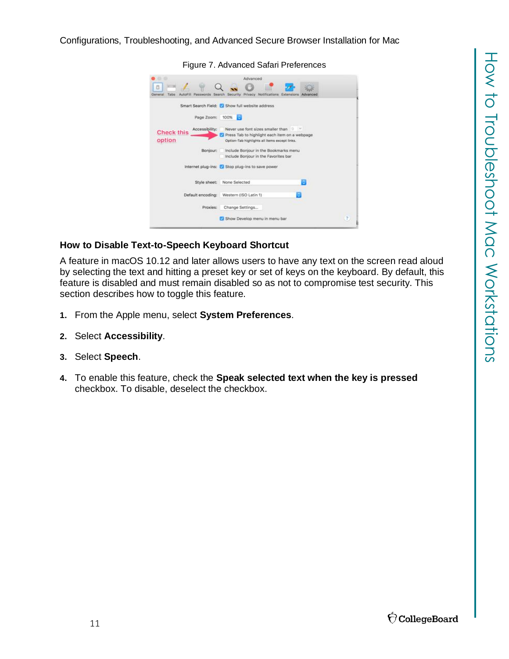|                                                             | Figure 7. Advanced Safari Preferences                                                                                                                                                                        |                |
|-------------------------------------------------------------|--------------------------------------------------------------------------------------------------------------------------------------------------------------------------------------------------------------|----------------|
| Tabs<br>General<br>AutoFit                                  | Advanced<br>Passwords Search Security Privacy Notifications Extensions<br>Advanced                                                                                                                           |                |
| Page Zoom:<br>Accessibility:<br><b>Check this</b><br>option | Smart Search Field: C Show full website address<br>100%<br>ю<br>Never use font sizes smaller than<br>19 37<br>Press Tab to highlight each item on a webpage<br>Option-Tab highlights all items except links. |                |
| Bonjour:                                                    | Include Bonjour in the Bookmarks menu<br>Include Boniour in the Favorites bar.<br>Internet plug-ins: Stop plug-ins to save power                                                                             |                |
| Style sheet:                                                | ю<br>None Selected                                                                                                                                                                                           |                |
| Default encoding:<br>Proxies:                               | Western (ISO Latin 1)<br>Change Settings                                                                                                                                                                     |                |
|                                                             | Show Develop menu in menu bar                                                                                                                                                                                | $\overline{1}$ |

### <span id="page-10-0"></span>**How to Disable Text-to-Speech Keyboard Shortcut**

A feature in macOS 10.12 and later allows users to have any text on the screen read aloud by selecting the text and hitting a preset key or set of keys on the keyboard. By default, this feature is disabled and must remain disabled so as not to compromise test security. This section describes how to toggle this feature.

- **1.** From the Apple menu, select **System Preferences**.
- **2.** Select **Accessibility**.
- **3.** Select **Speech**.
- **4.** To enable this feature, check the **Speak selected text when the key is pressed** checkbox. To disable, deselect the checkbox.

Figure 7. Advanced Safari Preferences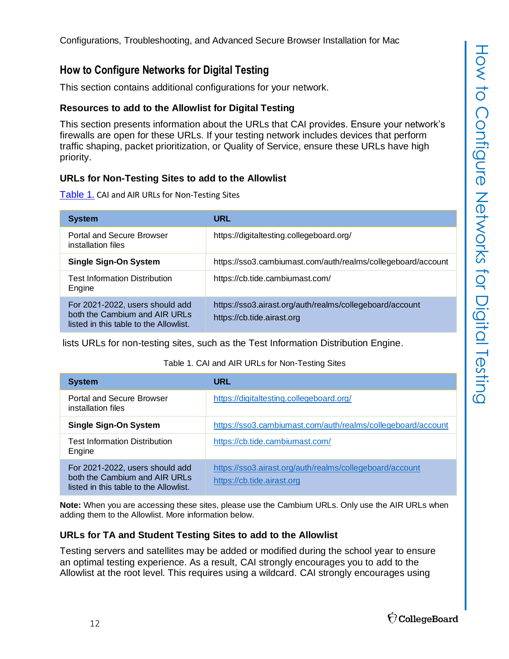# <span id="page-11-0"></span>**How to Configure Networks for Digital Testing**

This section contains additional configurations for your network.

# <span id="page-11-1"></span>**Resources to add to the Allowlist for Digital Testing**

This section presents information about the URLs that CAI provides. Ensure your network's firewalls are open for these URLs. If your testing network includes devices that perform traffic shaping, packet prioritization, or Quality of Service, ensure these URLs have high priority.

# <span id="page-11-2"></span>**URLs for Non-Testing Sites to add to the Allowlist**

Table 1. CAI [and AIR URLs for Non-Testing Sites](#page-11-4)

| <b>System</b>                                                                                              | URL                                                                                    |
|------------------------------------------------------------------------------------------------------------|----------------------------------------------------------------------------------------|
| Portal and Secure Browser<br>installation files                                                            | https://digitaltesting.collegeboard.org/                                               |
| <b>Single Sign-On System</b>                                                                               | https://sso3.cambiumast.com/auth/realms/collegeboard/account                           |
| <b>Test Information Distribution</b><br>Engine                                                             | https://cb.tide.cambiumast.com/                                                        |
| For 2021-2022, users should add<br>both the Cambium and AIR URLs<br>listed in this table to the Allowlist. | https://sso3.airast.org/auth/realms/collegeboard/account<br>https://cb.tide.airast.org |

lists URLs for non-testing sites, such as the Test Information Distribution Engine.

### Table 1. CAI and AIR URLs for Non-Testing Sites

<span id="page-11-4"></span>

| <b>System</b>                                                                                              | URL                                                                                    |
|------------------------------------------------------------------------------------------------------------|----------------------------------------------------------------------------------------|
| Portal and Secure Browser<br>installation files                                                            | https://digitaltesting.collegeboard.org/                                               |
| <b>Single Sign-On System</b>                                                                               | https://sso3.cambiumast.com/auth/realms/collegeboard/account                           |
| <b>Test Information Distribution</b><br>Engine                                                             | https://cb.tide.cambiumast.com/                                                        |
| For 2021-2022, users should add<br>both the Cambium and AIR URLs<br>listed in this table to the Allowlist. | https://sso3.airast.org/auth/realms/collegeboard/account<br>https://cb.tide.airast.org |

**Note:** When you are accessing these sites, please use the Cambium URLs. Only use the AIR URLs when adding them to the Allowlist. More information below.

# <span id="page-11-3"></span>**URLs for TA and Student Testing Sites to add to the Allowlist**

Testing servers and satellites may be added or modified during the school year to ensure an optimal testing experience. As a result, CAI strongly encourages you to add to the Allowlist at the root level. This requires using a wildcard. CAI strongly encourages using

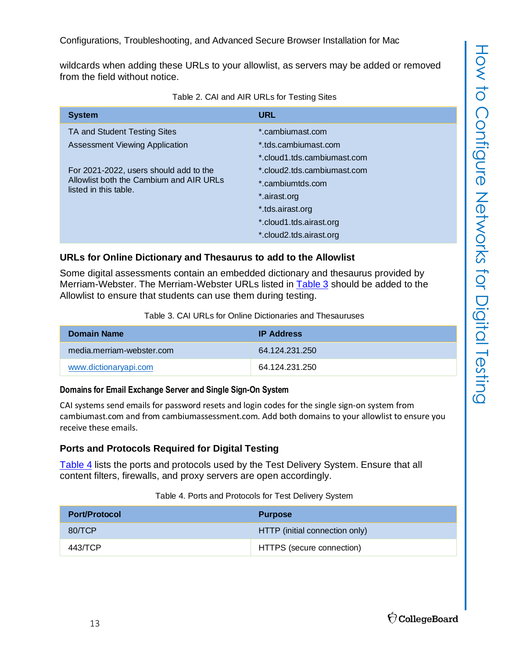wildcards when adding these URLs to your allowlist, as servers may be added or removed from the field without notice.

<span id="page-12-5"></span>

| <b>System</b>                                                                                                                                                                | <b>URL</b>                                                                                                                                                                                |
|------------------------------------------------------------------------------------------------------------------------------------------------------------------------------|-------------------------------------------------------------------------------------------------------------------------------------------------------------------------------------------|
| TA and Student Testing Sites<br>Assessment Viewing Application<br>For 2021-2022, users should add to the<br>Allowlist both the Cambium and AIR URLs<br>listed in this table. | *.cambiumast.com<br>*.tds.cambiumast.com<br>*.cloud1.tds.cambiumast.com<br>*.cloud2.tds.cambiumast.com<br>*.cambiumtds.com<br>*.airast.org<br>*.tds.airast.org<br>*.cloud1.tds.airast.org |
|                                                                                                                                                                              | *.cloud2.tds.airast.org                                                                                                                                                                   |

Table 2. CAI and AIR URLs for Testing Sites

# <span id="page-12-0"></span>**URLs for Online Dictionary and Thesaurus to add to the Allowlist**

Some digital assessments contain an embedded dictionary and thesaurus provided by Merriam-Webster. The Merriam-Webster URLs listed in [Table](#page-12-3) 3 should be added to the Allowlist to ensure that students can use them during testing.

Table 3. CAI URLs for Online Dictionaries and Thesauruses

<span id="page-12-3"></span>

| Domain Name               | <b>IP Address</b> |
|---------------------------|-------------------|
| media.merriam-webster.com | 64 124 231 250    |
| www.dictionaryapi.com     | 64 124 231 250    |

# <span id="page-12-1"></span>**Domains for Email Exchange Server and Single Sign-On System**

CAI systems send emails for password resets and login codes for the single sign-on system from cambiumast.com and from cambiumassessment.com. Add both domains to your allowlist to ensure you receive these emails.

# <span id="page-12-2"></span>**Ports and Protocols Required for Digital Testing**

[Table](#page-12-4) 4 lists the ports and protocols used by the Test Delivery System. Ensure that all content filters, firewalls, and proxy servers are open accordingly.

# Table 4. Ports and Protocols for Test Delivery System

<span id="page-12-4"></span>

| <b>Port/Protocol</b> | <b>Purpose</b>                 |
|----------------------|--------------------------------|
| 80/TCP               | HTTP (initial connection only) |
| 443/TCP              | HTTPS (secure connection)      |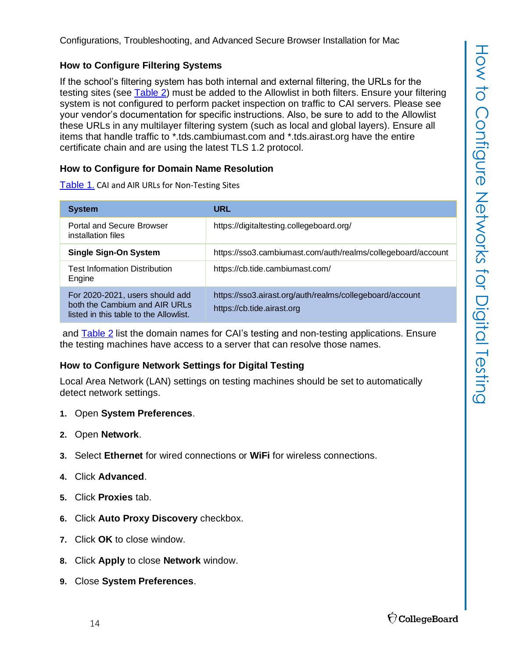## <span id="page-13-0"></span>**How to Configure Filtering Systems**

If the school's filtering system has both internal and external filtering, the URLs for the testing sites (see [Table](#page-12-5) 2) must be added to the Allowlist in both filters. Ensure your filtering system is not configured to perform packet inspection on traffic to CAI servers. Please see your vendor's documentation for specific instructions. Also, be sure to add to the Allowlist these URLs in any multilayer filtering system (such as local and global layers). Ensure all items that handle traffic to \*.tds.cambiumast.com and \*.tds.airast.org have the entire certificate chain and are using the latest TLS 1.2 protocol.

### <span id="page-13-1"></span>**How to Configure for Domain Name Resolution**

Table 1. CAI [and AIR URLs for Non-Testing Sites](#page-11-4)

| <b>System</b>                                                                                              | URL                                                                                    |
|------------------------------------------------------------------------------------------------------------|----------------------------------------------------------------------------------------|
| Portal and Secure Browser<br>installation files                                                            | https://digitaltesting.collegeboard.org/                                               |
| <b>Single Sign-On System</b>                                                                               | https://sso3.cambiumast.com/auth/realms/collegeboard/account                           |
| <b>Test Information Distribution</b><br>Engine                                                             | https://cb.tide.cambiumast.com/                                                        |
| For 2020-2021, users should add<br>both the Cambium and AIR URLs<br>listed in this table to the Allowlist. | https://sso3.airast.org/auth/realms/collegeboard/account<br>https://cb.tide.airast.org |

and [Table](#page-12-5) 2 list the domain names for CAI's testing and non-testing applications. Ensure the testing machines have access to a server that can resolve those names.

### <span id="page-13-2"></span>**How to Configure Network Settings for Digital Testing**

Local Area Network (LAN) settings on testing machines should be set to automatically detect network settings.

- **1.** Open **System Preferences**.
- **2.** Open **Network**.
- **3.** Select **Ethernet** for wired connections or **WiFi** for wireless connections.
- **4.** Click **Advanced**.
- **5.** Click **Proxies** tab.
- **6.** Click **Auto Proxy Discovery** checkbox.
- **7.** Click **OK** to close window.
- **8.** Click **Apply** to close **Network** window.
- **9.** Close **System Preferences**.

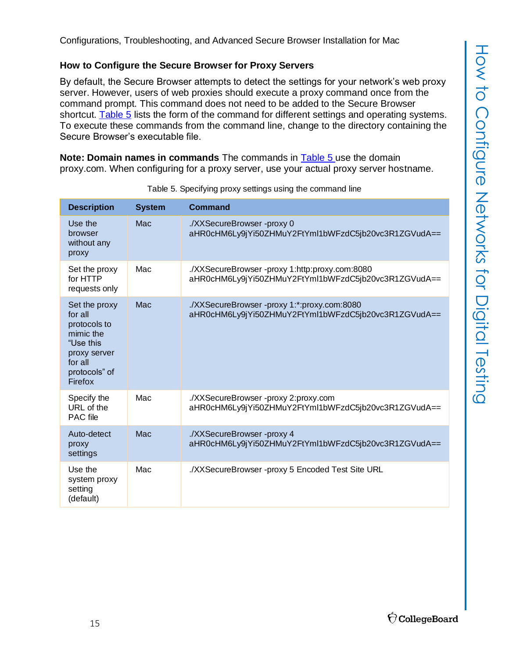# <span id="page-14-0"></span>**How to Configure the Secure Browser for Proxy Servers**

By default, the Secure Browser attempts to detect the settings for your network's web proxy server. However, users of web proxies should execute a proxy command once from the command prompt. This command does not need to be added to the Secure Browser shortcut. [Table](#page-14-1) 5 lists the form of the command for different settings and operating systems. To execute these commands from the command line, change to the directory containing the Secure Browser's executable file.

**Note: Domain names in commands** The commands in [Table](#page-14-1) 5 use the domain proxy.com. When configuring for a proxy server, use your actual proxy server hostname.

<span id="page-14-1"></span>

| <b>Description</b>                                                                                                        | <b>System</b> | <b>Command</b>                                                                                         |
|---------------------------------------------------------------------------------------------------------------------------|---------------|--------------------------------------------------------------------------------------------------------|
| Use the<br>browser<br>without any<br>proxy                                                                                | Mac           | ./XXSecureBrowser -proxy 0<br>aHR0cHM6Ly9jYi50ZHMuY2FtYml1bWFzdC5jb20vc3R1ZGVudA==                     |
| Set the proxy<br>for HTTP<br>requests only                                                                                | Mac           | ./XXSecureBrowser -proxy 1:http:proxy.com:8080<br>aHR0cHM6Ly9jYi50ZHMuY2FtYml1bWFzdC5jb20vc3R1ZGVudA== |
| Set the proxy<br>for all<br>protocols to<br>mimic the<br>"Use this<br>proxy server<br>for all<br>protocols" of<br>Firefox | Mac           | ./XXSecureBrowser -proxy 1:*:proxy.com:8080<br>aHR0cHM6Ly9jYi50ZHMuY2FtYml1bWFzdC5jb20vc3R1ZGVudA==    |
| Specify the<br>URL of the<br><b>PAC</b> file                                                                              | Mac           | ./XXSecureBrowser -proxy 2:proxy.com<br>aHR0cHM6Ly9jYi50ZHMuY2FtYml1bWFzdC5jb20vc3R1ZGVudA==           |
| Auto-detect<br>proxy<br>settings                                                                                          | Mac           | ./XXSecureBrowser -proxy 4<br>aHR0cHM6Ly9jYi50ZHMuY2FtYml1bWFzdC5jb20vc3R1ZGVudA==                     |
| Use the<br>system proxy<br>setting<br>(default)                                                                           | Mac           | ./XXSecureBrowser -proxy 5 Encoded Test Site URL                                                       |

Table 5. Specifying proxy settings using the command line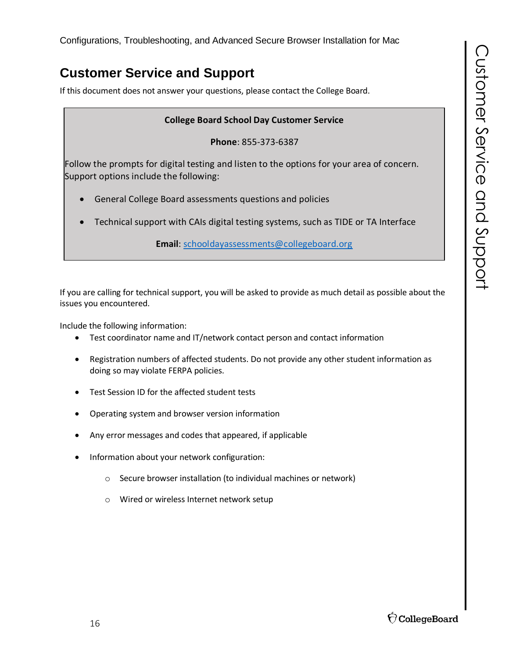# <span id="page-15-0"></span>**Customer Service and Support**

If this document does not answer your questions, please contact the College Board.

# **College Board School Day Customer Service**

**Phone**: 855-373-6387

Follow the prompts for digital testing and listen to the options for your area of concern. Support options include the following:

- General College Board assessments questions and policies
- Technical support with CAIs digital testing systems, such as TIDE or TA Interface

**Email**: [schooldayassessments@collegeboard.org](mailto:schooldayassessments@collegeboard.org)

If you are calling for technical support, you will be asked to provide as much detail as possible about the issues you encountered.

Include the following information:

- Test coordinator name and IT/network contact person and contact information
- Registration numbers of affected students. Do not provide any other student information as doing so may violate FERPA policies.
- Test Session ID for the affected student tests
- Operating system and browser version information
- Any error messages and codes that appeared, if applicable
- Information about your network configuration:
	- o Secure browser installation (to individual machines or network)
	- o Wired or wireless Internet network setup